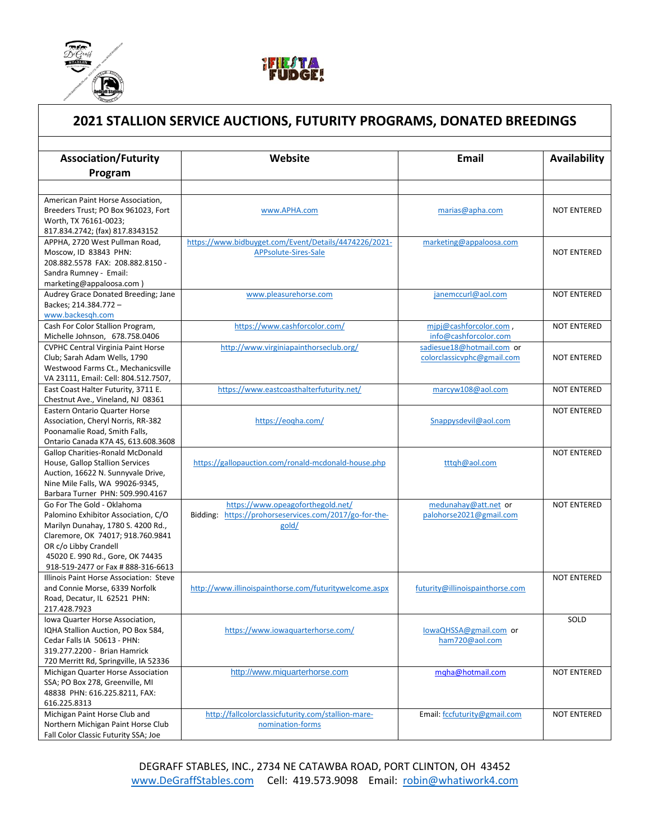



## **2021 STALLION SERVICE AUCTIONS, FUTURITY PROGRAMS, DONATED BREEDINGS**

| <b>Association/Futurity</b>               | Website                                                | <b>Email</b>                    | Availability       |
|-------------------------------------------|--------------------------------------------------------|---------------------------------|--------------------|
| Program                                   |                                                        |                                 |                    |
|                                           |                                                        |                                 |                    |
| American Paint Horse Association,         |                                                        |                                 |                    |
| Breeders Trust; PO Box 961023, Fort       | www.APHA.com                                           | marias@apha.com                 | <b>NOT ENTERED</b> |
| Worth, TX 76161-0023;                     |                                                        |                                 |                    |
| 817.834.2742; (fax) 817.8343152           |                                                        |                                 |                    |
| APPHA, 2720 West Pullman Road,            | https://www.bidbuyget.com/Event/Details/4474226/2021-  | marketing@appaloosa.com         |                    |
| Moscow, ID 83843 PHN:                     | APPsolute-Sires-Sale                                   |                                 | <b>NOT ENTERED</b> |
| 208.882.5578 FAX: 208.882.8150 -          |                                                        |                                 |                    |
| Sandra Rumney - Email:                    |                                                        |                                 |                    |
| marketing@appaloosa.com)                  |                                                        |                                 |                    |
| Audrey Grace Donated Breeding; Jane       | www.pleasurehorse.com                                  | janemccurl@aol.com              | <b>NOT ENTERED</b> |
| Backes; 214.384.772 -                     |                                                        |                                 |                    |
| www.backesgh.com                          |                                                        |                                 |                    |
| Cash For Color Stallion Program,          | https://www.cashforcolor.com/                          | mipj@cashforcolor.com,          | <b>NOT ENTERED</b> |
| Michelle Johnson, 678.758.0406            |                                                        | info@cashforcolor.com           |                    |
| <b>CVPHC Central Virginia Paint Horse</b> | http://www.virginiapainthorseclub.org/                 | sadiesue18@hotmail.com or       |                    |
| Club; Sarah Adam Wells, 1790              |                                                        | colorclassicvphc@gmail.com      | <b>NOT ENTERED</b> |
| Westwood Farms Ct., Mechanicsville        |                                                        |                                 |                    |
| VA 23111, Email: Cell: 804.512.7507,      |                                                        |                                 |                    |
| East Coast Halter Futurity, 3711 E.       | https://www.eastcoasthalterfuturity.net/               | marcyw108@aol.com               | NOT ENTERED        |
| Chestnut Ave., Vineland, NJ 08361         |                                                        |                                 |                    |
| Eastern Ontario Quarter Horse             |                                                        |                                 | <b>NOT ENTERED</b> |
| Association, Cheryl Norris, RR-382        | https://eogha.com/                                     | Snappysdevil@aol.com            |                    |
| Poonamalie Road, Smith Falls,             |                                                        |                                 |                    |
| Ontario Canada K7A 4S, 613.608.3608       |                                                        |                                 |                    |
| <b>Gallop Charities-Ronald McDonald</b>   |                                                        |                                 | <b>NOT ENTERED</b> |
| House, Gallop Stallion Services           | https://gallopauction.com/ronald-mcdonald-house.php    | tttqh@aol.com                   |                    |
| Auction, 16622 N. Sunnyvale Drive,        |                                                        |                                 |                    |
| Nine Mile Falls, WA 99026-9345,           |                                                        |                                 |                    |
| Barbara Turner PHN: 509.990.4167          |                                                        |                                 |                    |
| Go For The Gold - Oklahoma                | https://www.opeagoforthegold.net/                      | medunahay@att.net or            | <b>NOT ENTERED</b> |
| Palomino Exhibitor Association, C/O       | Bidding: https://prohorseservices.com/2017/go-for-the- | palohorse2021@gmail.com         |                    |
| Marilyn Dunahay, 1780 S. 4200 Rd.,        | gold/                                                  |                                 |                    |
| Claremore, OK 74017; 918.760.9841         |                                                        |                                 |                    |
| OR c/o Libby Crandell                     |                                                        |                                 |                    |
| 45020 E. 990 Rd., Gore, OK 74435          |                                                        |                                 |                    |
| 918-519-2477 or Fax # 888-316-6613        |                                                        |                                 |                    |
| Illinois Paint Horse Association: Steve   |                                                        |                                 | <b>NOT ENTERED</b> |
| and Connie Morse, 6339 Norfolk            | http://www.illinoispainthorse.com/futuritywelcome.aspx | futurity@illinoispainthorse.com |                    |
| Road, Decatur, IL 62521 PHN:              |                                                        |                                 |                    |
| 217.428.7923                              |                                                        |                                 |                    |
| Iowa Quarter Horse Association,           |                                                        |                                 | SOLD               |
| IQHA Stallion Auction, PO Box 584,        | https://www.iowaquarterhorse.com/                      | lowaQHSSA@gmail.com or          |                    |
| Cedar Falls IA 50613 - PHN:               |                                                        | ham720@aol.com                  |                    |
| 319.277.2200 - Brian Hamrick              |                                                        |                                 |                    |
| 720 Merritt Rd, Springville, IA 52336     |                                                        |                                 |                    |
| Michigan Quarter Horse Association        | http://www.miquarterhorse.com                          | mqha@hotmail.com                | <b>NOT ENTERED</b> |
| SSA; PO Box 278, Greenville, MI           |                                                        |                                 |                    |
| 48838 PHN: 616.225.8211, FAX:             |                                                        |                                 |                    |
| 616.225.8313                              |                                                        |                                 |                    |
| Michigan Paint Horse Club and             | http://fallcolorclassicfuturity.com/stallion-mare-     | Email: fccfuturity@gmail.com    | NOT ENTERED        |
| Northern Michigan Paint Horse Club        | nomination-forms                                       |                                 |                    |
| Fall Color Classic Futurity SSA; Joe      |                                                        |                                 |                    |